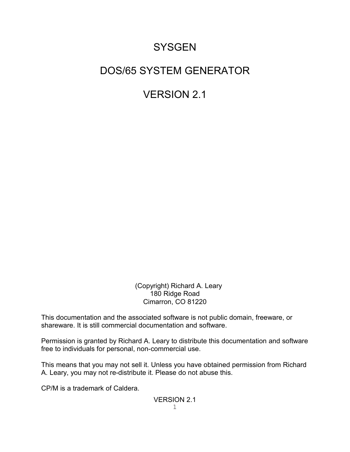# **SYSGEN**

## DOS/65 SYSTEM GENERATOR

# VERSION 2.1

 (Copyright) Richard A. Leary 180 Ridge Road Cimarron, CO 81220

This documentation and the associated software is not public domain, freeware, or shareware. It is still commercial documentation and software.

Permission is granted by Richard A. Leary to distribute this documentation and software free to individuals for personal, non-commercial use.

This means that you may not sell it. Unless you have obtained permission from Richard A. Leary, you may not re-distribute it. Please do not abuse this.

CP/M is a trademark of Caldera.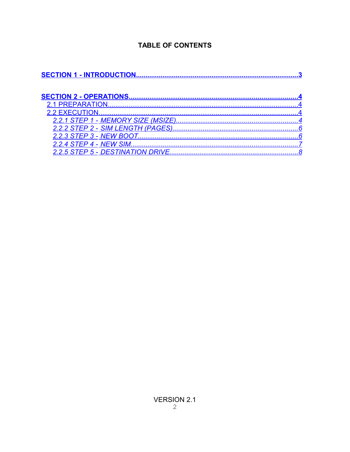### <span id="page-1-5"></span><span id="page-1-4"></span><span id="page-1-3"></span><span id="page-1-2"></span><span id="page-1-1"></span><span id="page-1-0"></span>**TABLE OF CONTENTS**

| 2.1 PREPARATION                    |  |
|------------------------------------|--|
| 2.2 EXECUTION                      |  |
| 2.2.1 STEP 1 - MEMORY SIZE (MSIZE) |  |
|                                    |  |
|                                    |  |
|                                    |  |
|                                    |  |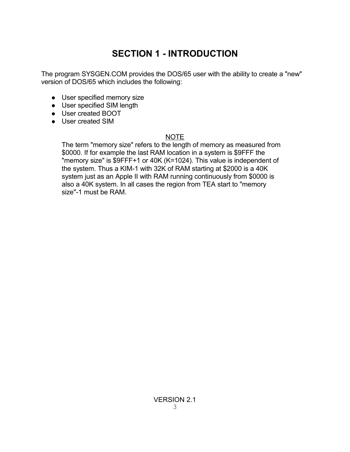### <span id="page-2-0"></span>**SECTION 1 - INTRODUCTION**

The program SYSGEN.COM provides the DOS/65 user with the ability to create a "new" version of DOS/65 which includes the following:

- User specified memory size
- User specified SIM length
- User created BOOT
- User created SIM

#### NOTE

The term "memory size" refers to the length of memory as measured from \$0000. If for example the last RAM location in a system is \$9FFF the "memory size" is \$9FFF+1 or 40K (K=1024). This value is independent of the system. Thus a KIM-1 with 32K of RAM starting at \$2000 is a 40K system just as an Apple II with RAM running continuously from \$0000 is also a 40K system. In all cases the region from TEA start to "memory size"-1 must be RAM.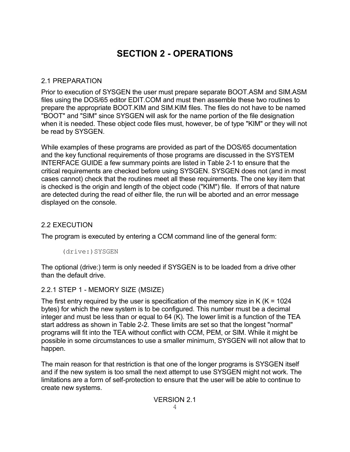### <span id="page-3-0"></span>**SECTION 2 - OPERATIONS**

#### 2.1 PREPARATION

Prior to execution of SYSGEN the user must prepare separate BOOT.ASM and SIM.ASM files using the DOS/65 editor EDIT.COM and must then assemble these two routines to prepare the appropriate BOOT.KIM and SIM.KIM files. The files do not have to be named "BOOT" and "SIM" since SYSGEN will ask for the name portion of the file designation when it is needed. These object code files must, however, be of type "KIM" or they will not be read by SYSGEN.

While examples of these programs are provided as part of the DOS/65 documentation and the key functional requirements of those programs are discussed in the SYSTEM INTERFACE GUIDE a few summary points are listed in Table 2-1 to ensure that the critical requirements are checked before using SYSGEN. SYSGEN does not (and in most cases cannot) check that the routines meet all these requirements. The one key item that is checked is the origin and length of the object code ("KIM") file. If errors of that nature are detected during the read of either file, the run will be aborted and an error message displayed on the console.

#### 2.2 EXECUTION

The program is executed by entering a CCM command line of the general form:

(drive:)SYSGEN

The optional (drive:) term is only needed if SYSGEN is to be loaded from a drive other than the default drive.

#### 2.2.1 STEP 1 - MEMORY SIZE (MSIZE)

The first entry required by the user is specification of the memory size in K ( $K = 1024$ ) bytes) for which the new system is to be configured. This number must be a decimal integer and must be less than or equal to 64 (K). The lower limit is a function of the TEA start address as shown in Table 2-2. These limits are set so that the longest "normal" programs will fit into the TEA without conflict with CCM, PEM, or SIM. While it might be possible in some circumstances to use a smaller minimum, SYSGEN will not allow that to happen.

The main reason for that restriction is that one of the longer programs is SYSGEN itself and if the new system is too small the next attempt to use SYSGEN might not work. The limitations are a form of self-protection to ensure that the user will be able to continue to create new systems.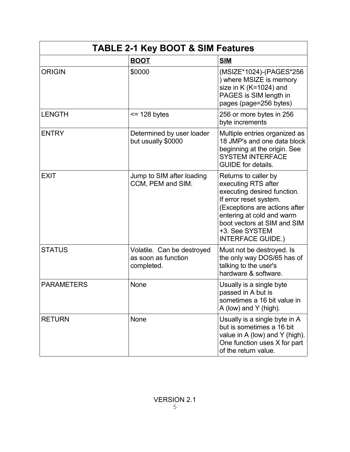| <b>TABLE 2-1 Key BOOT &amp; SIM Features</b> |                                                                 |                                                                                                                                                                                                                                                 |  |  |
|----------------------------------------------|-----------------------------------------------------------------|-------------------------------------------------------------------------------------------------------------------------------------------------------------------------------------------------------------------------------------------------|--|--|
|                                              | <b>BOOT</b>                                                     | <b>SIM</b>                                                                                                                                                                                                                                      |  |  |
| <b>ORIGIN</b>                                | \$0000                                                          | (MSIZE*1024)-(PAGES*256<br>) where MSIZE is memory<br>size in K (K=1024) and<br>PAGES is SIM length in<br>pages (page=256 bytes)                                                                                                                |  |  |
| <b>LENGTH</b>                                | $\le$ 128 bytes                                                 | 256 or more bytes in 256<br>byte increments                                                                                                                                                                                                     |  |  |
| <b>ENTRY</b>                                 | Determined by user loader<br>but usually \$0000                 | Multiple entries organized as<br>18 JMP's and one data block<br>beginning at the origin. See<br><b>SYSTEM INTERFACE</b><br><b>GUIDE</b> for details.                                                                                            |  |  |
| <b>EXIT</b>                                  | Jump to SIM after loading<br>CCM, PEM and SIM.                  | Returns to caller by<br>executing RTS after<br>executing desired function.<br>If error reset system.<br>(Exceptions are actions after<br>entering at cold and warm<br>boot vectors at SIM and SIM<br>+3. See SYSTEM<br><b>INTERFACE GUIDE.)</b> |  |  |
| <b>STATUS</b>                                | Volatile. Can be destroyed<br>as soon as function<br>completed. | Must not be destroyed. Is<br>the only way DOS/65 has of<br>talking to the user's<br>hardware & software.                                                                                                                                        |  |  |
| <b>PARAMETERS</b>                            | None                                                            | Usually is a single byte<br>passed in A but is<br>sometimes a 16 bit value in<br>A (low) and Y (high).                                                                                                                                          |  |  |
| <b>RETURN</b>                                | <b>None</b>                                                     | Usually is a single byte in A<br>but is sometimes a 16 bit<br>value in A (low) and Y (high).<br>One function uses X for part<br>of the return value.                                                                                            |  |  |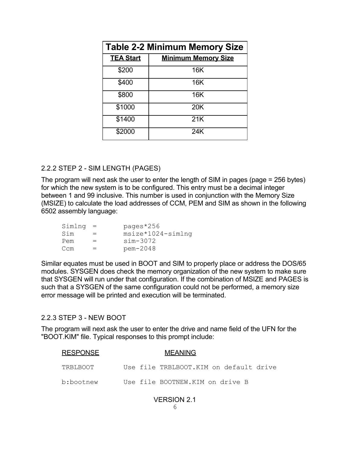| <b>Table 2-2 Minimum Memory Size</b> |                            |  |  |  |
|--------------------------------------|----------------------------|--|--|--|
| <b>TEA Start</b>                     | <b>Minimum Memory Size</b> |  |  |  |
| \$200                                | 16K                        |  |  |  |
| \$400                                | 16K                        |  |  |  |
| \$800                                | 16K                        |  |  |  |
| \$1000                               | 20K                        |  |  |  |
| \$1400                               | 21K                        |  |  |  |
| \$2000                               | 24K                        |  |  |  |

#### <span id="page-5-0"></span>2.2.2 STEP 2 - SIM LENGTH (PAGES)

The program will next ask the user to enter the length of SIM in pages (page = 256 bytes) for which the new system is to be configured. This entry must be a decimal integer between 1 and 99 inclusive. This number is used in conjunction with the Memory Size (MSIZE) to calculate the load addresses of CCM, PEM and SIM as shown in the following 6502 assembly language:

| $SimIng =$ |     | pages*256           |
|------------|-----|---------------------|
| Sim        | $=$ | $msize*1024-simlnq$ |
| Pem        | $=$ | $sim-3072$          |
| Ccm        | $=$ | pem-2048            |

Similar equates must be used in BOOT and SIM to properly place or address the DOS/65 modules. SYSGEN does check the memory organization of the new system to make sure that SYSGEN will run under that configuration. If the combination of MSIZE and PAGES is such that a SYSGEN of the same configuration could not be performed, a memory size error message will be printed and execution will be terminated.

#### 2.2.3 STEP 3 - NEW BOOT

The program will next ask the user to enter the drive and name field of the UFN for the "BOOT.KIM" file. Typical responses to this prompt include:

| <b>RESPONSE</b> |  | <b>MEANING</b>                          |
|-----------------|--|-----------------------------------------|
| TRBLBOOT        |  | Use file TRBLBOOT. KIM on default drive |
| b:bootnew       |  | Use file BOOTNEW. KIM on drive B        |

#### VERSION 21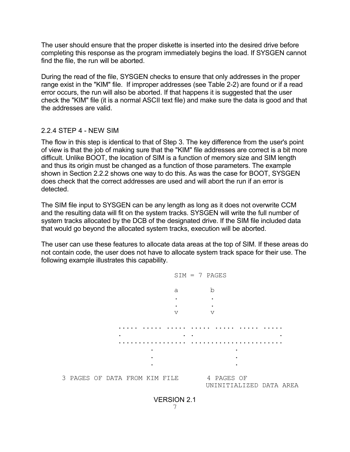The user should ensure that the proper diskette is inserted into the desired drive before completing this response as the program immediately begins the load. If SYSGEN cannot find the file, the run will be aborted.

During the read of the file, SYSGEN checks to ensure that only addresses in the proper range exist in the "KIM" file. If improper addresses (see Table 2-2) are found or if a read error occurs, the run will also be aborted. If that happens it is suggested that the user check the "KIM" file (it is a normal ASCII text file) and make sure the data is good and that the addresses are valid.

#### 2.2.4 STEP 4 - NEW SIM

The flow in this step is identical to that of Step 3. The key difference from the user's point of view is that the job of making sure that the "KIM" file addresses are correct is a bit more difficult. Unlike BOOT, the location of SIM is a function of memory size and SIM length and thus its origin must be changed as a function of those parameters. The example shown in Section 2.2.2 shows one way to do this. As was the case for BOOT, SYSGEN does check that the correct addresses are used and will abort the run if an error is detected.

The SIM file input to SYSGEN can be any length as long as it does not overwrite CCM and the resulting data will fit on the system tracks. SYSGEN will write the full number of system tracks allocated by the DCB of the designated drive. If the SIM file included data that would go beyond the allocated system tracks, execution will be aborted.

The user can use these features to allocate data areas at the top of SIM. If these areas do not contain code, the user does not have to allocate system track space for their use. The following example illustrates this capability.

 $SIM = 7$  PAGES a b . . . . v v ..... ..... ..... ..... ..... ..... ..... . The contract of the contract of the contract of the contract of the contract of the contract of the contract of the contract of the contract of the contract of the contract of the contract of the contract of the contrac ................. ....................... . . . . . . 3 PAGES OF DATA FROM KIM FILE 4 PAGES OF UNINITIALIZED DATA AREA VERSION 2.1

7